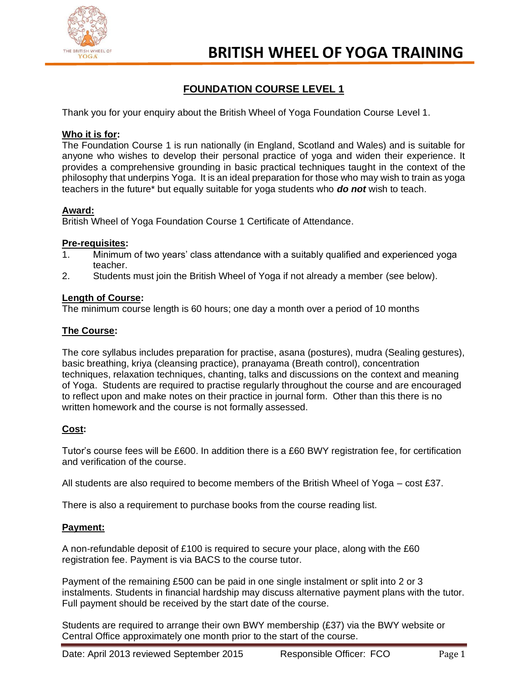

# **FOUNDATION COURSE LEVEL 1**

Thank you for your enquiry about the British Wheel of Yoga Foundation Course Level 1.

### **Who it is for:**

The Foundation Course 1 is run nationally (in England, Scotland and Wales) and is suitable for anyone who wishes to develop their personal practice of yoga and widen their experience. It provides a comprehensive grounding in basic practical techniques taught in the context of the philosophy that underpins Yoga. It is an ideal preparation for those who may wish to train as yoga teachers in the future\* but equally suitable for yoga students who *do not* wish to teach.

### **Award:**

British Wheel of Yoga Foundation Course 1 Certificate of Attendance.

### **Pre-requisites:**

- 1. Minimum of two years' class attendance with a suitably qualified and experienced yoga teacher.
- 2. Students must join the British Wheel of Yoga if not already a member (see below).

### **Length of Course:**

The minimum course length is 60 hours; one day a month over a period of 10 months

### **The Course:**

The core syllabus includes preparation for practise, asana (postures), mudra (Sealing gestures), basic breathing, kriya (cleansing practice), pranayama (Breath control), concentration techniques, relaxation techniques, chanting, talks and discussions on the context and meaning of Yoga. Students are required to practise regularly throughout the course and are encouraged to reflect upon and make notes on their practice in journal form. Other than this there is no written homework and the course is not formally assessed.

## **Cost:**

Tutor's course fees will be £600. In addition there is a £60 BWY registration fee, for certification and verification of the course.

All students are also required to become members of the British Wheel of Yoga – cost £37.

There is also a requirement to purchase books from the course reading list.

### **Payment:**

A non-refundable deposit of £100 is required to secure your place, along with the £60 registration fee. Payment is via BACS to the course tutor.

Payment of the remaining £500 can be paid in one single instalment or split into 2 or 3 instalments. Students in financial hardship may discuss alternative payment plans with the tutor. Full payment should be received by the start date of the course.

Students are required to arrange their own BWY membership (£37) via the BWY website or Central Office approximately one month prior to the start of the course.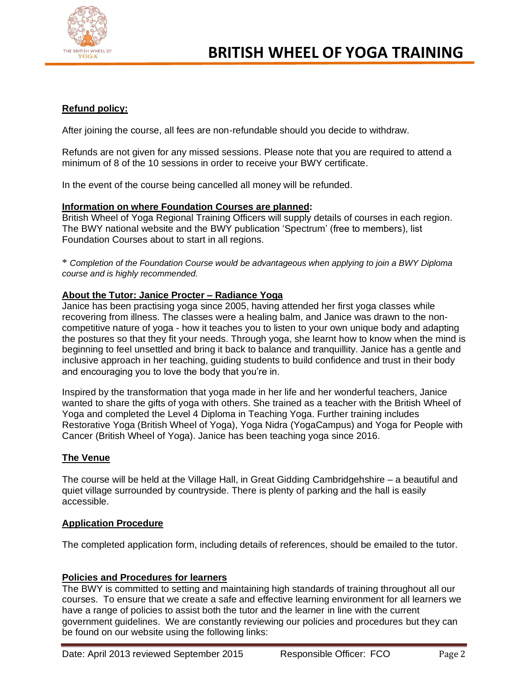

# **Refund policy:**

After joining the course, all fees are non-refundable should you decide to withdraw.

Refunds are not given for any missed sessions. Please note that you are required to attend a minimum of 8 of the 10 sessions in order to receive your BWY certificate.

In the event of the course being cancelled all money will be refunded.

#### **Information on where Foundation Courses are planned:**

British Wheel of Yoga Regional Training Officers will supply details of courses in each region. The BWY national website and the BWY publication 'Spectrum' (free to members), list Foundation Courses about to start in all regions.

\* *Completion of the Foundation Course would be advantageous when applying to join a BWY Diploma course and is highly recommended.*

### **About the Tutor: Janice Procter – Radiance Yoga**

Janice has been practising yoga since 2005, having attended her first yoga classes while recovering from illness. The classes were a healing balm, and Janice was drawn to the noncompetitive nature of yoga - how it teaches you to listen to your own unique body and adapting the postures so that they fit your needs. Through yoga, she learnt how to know when the mind is beginning to feel unsettled and bring it back to balance and tranquillity. Janice has a gentle and inclusive approach in her teaching, guiding students to build confidence and trust in their body and encouraging you to love the body that you're in.

Inspired by the transformation that yoga made in her life and her wonderful teachers, Janice wanted to share the gifts of yoga with others. She trained as a teacher with the British Wheel of Yoga and completed the Level 4 Diploma in Teaching Yoga. Further training includes Restorative Yoga (British Wheel of Yoga), Yoga Nidra (YogaCampus) and Yoga for People with Cancer (British Wheel of Yoga). Janice has been teaching yoga since 2016.

### **The Venue**

The course will be held at the Village Hall, in Great Gidding Cambridgehshire – a beautiful and quiet village surrounded by countryside. There is plenty of parking and the hall is easily accessible.

### **Application Procedure**

The completed application form, including details of references, should be emailed to the tutor.

### **Policies and Procedures for learners**

The BWY is committed to setting and maintaining high standards of training throughout all our courses. To ensure that we create a safe and effective learning environment for all learners we have a range of policies to assist both the tutor and the learner in line with the current government guidelines. We are constantly reviewing our policies and procedures but they can be found on our website using the following links: